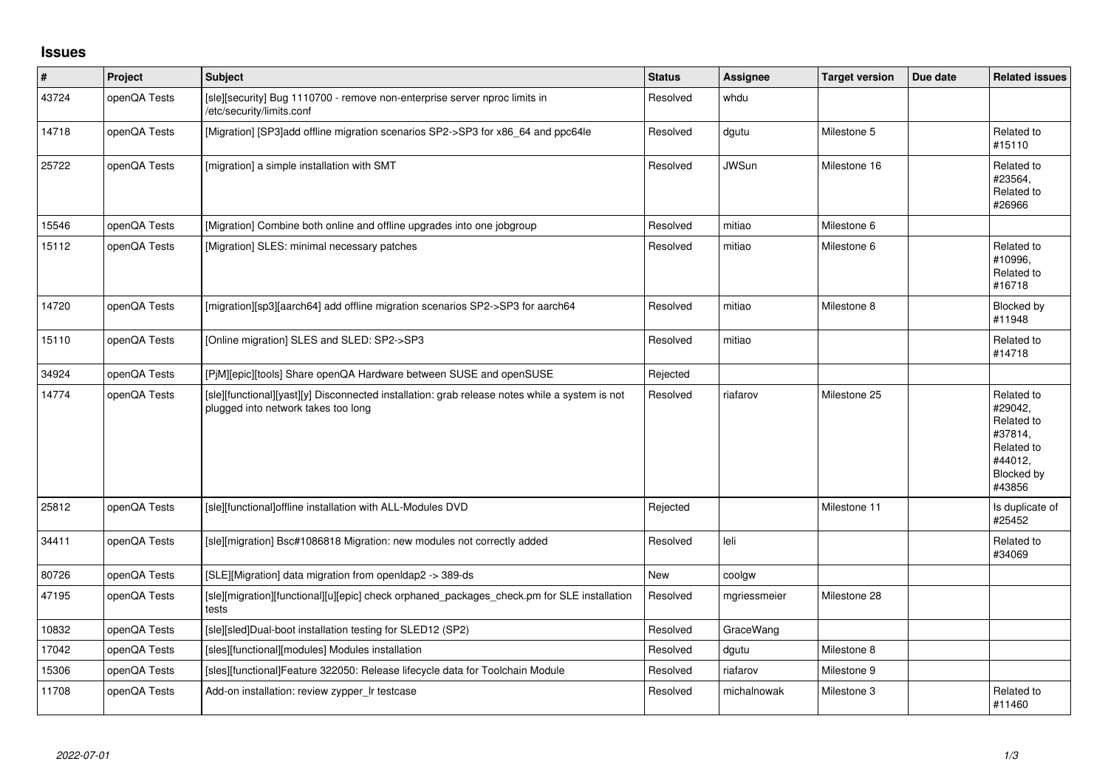## **Issues**

| $\vert$ # | Project      | <b>Subject</b>                                                                                                                        | <b>Status</b> | <b>Assignee</b> | <b>Target version</b> | Due date | <b>Related issues</b>                                                                           |
|-----------|--------------|---------------------------------------------------------------------------------------------------------------------------------------|---------------|-----------------|-----------------------|----------|-------------------------------------------------------------------------------------------------|
| 43724     | openQA Tests | [sle][security] Bug 1110700 - remove non-enterprise server nproc limits in<br>/etc/security/limits.conf                               | Resolved      | whdu            |                       |          |                                                                                                 |
| 14718     | openQA Tests | [Migration] [SP3]add offline migration scenarios SP2->SP3 for x86_64 and ppc64le                                                      | Resolved      | dgutu           | Milestone 5           |          | Related to<br>#15110                                                                            |
| 25722     | openQA Tests | [migration] a simple installation with SMT                                                                                            | Resolved      | <b>JWSun</b>    | Milestone 16          |          | Related to<br>#23564,<br>Related to<br>#26966                                                   |
| 15546     | openQA Tests | [Migration] Combine both online and offline upgrades into one jobgroup                                                                | Resolved      | mitiao          | Milestone 6           |          |                                                                                                 |
| 15112     | openQA Tests | [Migration] SLES: minimal necessary patches                                                                                           | Resolved      | mitiao          | Milestone 6           |          | Related to<br>#10996,<br>Related to<br>#16718                                                   |
| 14720     | openQA Tests | [migration][sp3][aarch64] add offline migration scenarios SP2->SP3 for aarch64                                                        | Resolved      | mitiao          | Milestone 8           |          | Blocked by<br>#11948                                                                            |
| 15110     | openQA Tests | [Online migration] SLES and SLED: SP2->SP3                                                                                            | Resolved      | mitiao          |                       |          | Related to<br>#14718                                                                            |
| 34924     | openQA Tests | [PjM][epic][tools] Share openQA Hardware between SUSE and openSUSE                                                                    | Rejected      |                 |                       |          |                                                                                                 |
| 14774     | openQA Tests | [sle][functional][yast][y] Disconnected installation: grab release notes while a system is not<br>plugged into network takes too long | Resolved      | riafarov        | Milestone 25          |          | Related to<br>#29042,<br>Related to<br>#37814,<br>Related to<br>#44012,<br>Blocked by<br>#43856 |
| 25812     | openQA Tests | [sle][functional]offline installation with ALL-Modules DVD                                                                            | Rejected      |                 | Milestone 11          |          | Is duplicate of<br>#25452                                                                       |
| 34411     | openQA Tests | [sle][migration] Bsc#1086818 Migration: new modules not correctly added                                                               | Resolved      | leli            |                       |          | Related to<br>#34069                                                                            |
| 80726     | openQA Tests | [SLE][Migration] data migration from openIdap2 -> 389-ds                                                                              | New           | coolgw          |                       |          |                                                                                                 |
| 47195     | openQA Tests | [sle][migration][functional][u][epic] check orphaned_packages_check.pm for SLE installation<br>tests                                  | Resolved      | mgriessmeier    | Milestone 28          |          |                                                                                                 |
| 10832     | openQA Tests | [sle][sled]Dual-boot installation testing for SLED12 (SP2)                                                                            | Resolved      | GraceWang       |                       |          |                                                                                                 |
| 17042     | openQA Tests | [sles][functional][modules] Modules installation                                                                                      | Resolved      | dgutu           | Milestone 8           |          |                                                                                                 |
| 15306     | openQA Tests | [sles][functional]Feature 322050: Release lifecycle data for Toolchain Module                                                         | Resolved      | riafarov        | Milestone 9           |          |                                                                                                 |
| 11708     | openQA Tests | Add-on installation: review zypper_Ir testcase                                                                                        | Resolved      | michalnowak     | Milestone 3           |          | Related to<br>#11460                                                                            |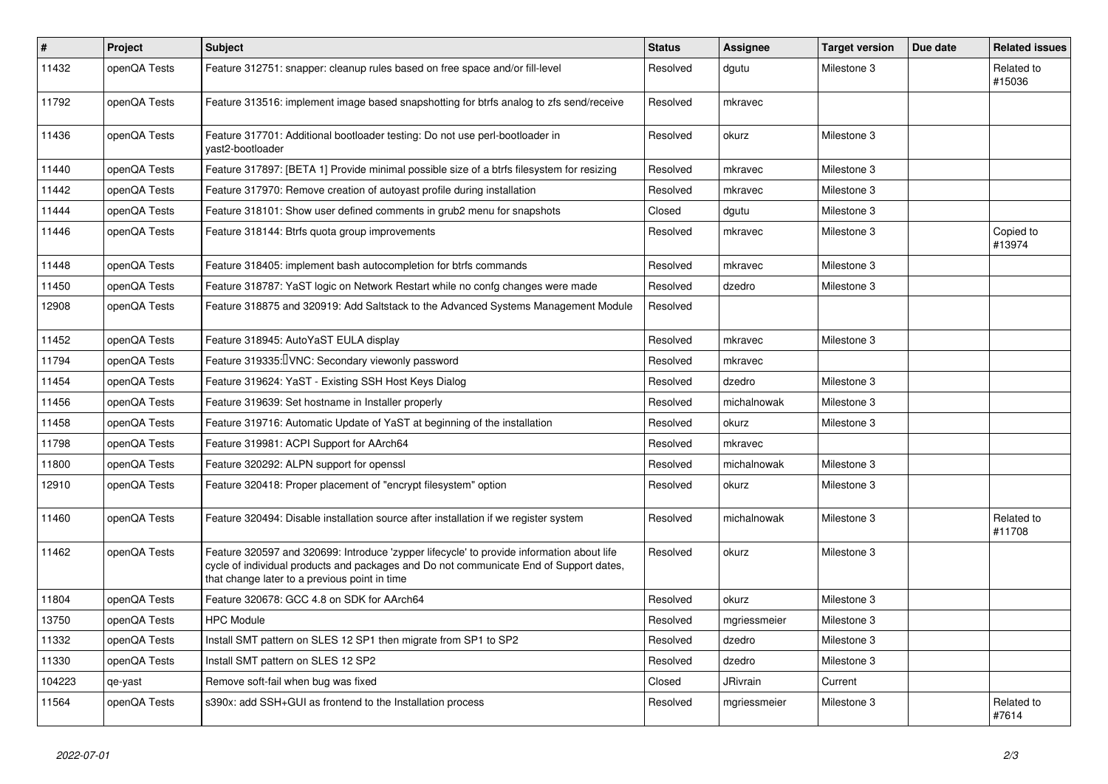| #      | Project      | <b>Subject</b>                                                                                                                                                                                                                       | <b>Status</b> | <b>Assignee</b> | <b>Target version</b> | Due date | <b>Related issues</b> |
|--------|--------------|--------------------------------------------------------------------------------------------------------------------------------------------------------------------------------------------------------------------------------------|---------------|-----------------|-----------------------|----------|-----------------------|
| 11432  | openQA Tests | Feature 312751: snapper: cleanup rules based on free space and/or fill-level                                                                                                                                                         | Resolved      | dgutu           | Milestone 3           |          | Related to<br>#15036  |
| 11792  | openQA Tests | Feature 313516: implement image based snapshotting for btrfs analog to zfs send/receive                                                                                                                                              | Resolved      | mkravec         |                       |          |                       |
| 11436  | openQA Tests | Feature 317701: Additional bootloader testing: Do not use perl-bootloader in<br>vast2-bootloader                                                                                                                                     | Resolved      | okurz           | Milestone 3           |          |                       |
| 11440  | openQA Tests | Feature 317897: [BETA 1] Provide minimal possible size of a btrfs filesystem for resizing                                                                                                                                            | Resolved      | mkravec         | Milestone 3           |          |                       |
| 11442  | openQA Tests | Feature 317970: Remove creation of autoyast profile during installation                                                                                                                                                              | Resolved      | mkravec         | Milestone 3           |          |                       |
| 11444  | openQA Tests | Feature 318101: Show user defined comments in grub2 menu for snapshots                                                                                                                                                               | Closed        | dgutu           | Milestone 3           |          |                       |
| 11446  | openQA Tests | Feature 318144: Btrfs quota group improvements                                                                                                                                                                                       | Resolved      | mkravec         | Milestone 3           |          | Copied to<br>#13974   |
| 11448  | openQA Tests | Feature 318405: implement bash autocompletion for btrfs commands                                                                                                                                                                     | Resolved      | mkravec         | Milestone 3           |          |                       |
| 11450  | openQA Tests | Feature 318787: YaST logic on Network Restart while no confg changes were made                                                                                                                                                       | Resolved      | dzedro          | Milestone 3           |          |                       |
| 12908  | openQA Tests | Feature 318875 and 320919: Add Saltstack to the Advanced Systems Management Module                                                                                                                                                   | Resolved      |                 |                       |          |                       |
| 11452  | openQA Tests | Feature 318945: AutoYaST EULA display                                                                                                                                                                                                | Resolved      | mkravec         | Milestone 3           |          |                       |
| 11794  | openQA Tests | Feature 319335: IVNC: Secondary viewonly password                                                                                                                                                                                    | Resolved      | mkravec         |                       |          |                       |
| 11454  | openQA Tests | Feature 319624: YaST - Existing SSH Host Keys Dialog                                                                                                                                                                                 | Resolved      | dzedro          | Milestone 3           |          |                       |
| 11456  | openQA Tests | Feature 319639: Set hostname in Installer properly                                                                                                                                                                                   | Resolved      | michalnowak     | Milestone 3           |          |                       |
| 11458  | openQA Tests | Feature 319716: Automatic Update of YaST at beginning of the installation                                                                                                                                                            | Resolved      | okurz           | Milestone 3           |          |                       |
| 11798  | openQA Tests | Feature 319981: ACPI Support for AArch64                                                                                                                                                                                             | Resolved      | mkravec         |                       |          |                       |
| 11800  | openQA Tests | Feature 320292: ALPN support for openssl                                                                                                                                                                                             | Resolved      | michalnowak     | Milestone 3           |          |                       |
| 12910  | openQA Tests | Feature 320418: Proper placement of "encrypt filesystem" option                                                                                                                                                                      | Resolved      | okurz           | Milestone 3           |          |                       |
| 11460  | openQA Tests | Feature 320494: Disable installation source after installation if we register system                                                                                                                                                 | Resolved      | michalnowak     | Milestone 3           |          | Related to<br>#11708  |
| 11462  | openQA Tests | Feature 320597 and 320699: Introduce 'zypper lifecycle' to provide information about life<br>cycle of individual products and packages and Do not communicate End of Support dates,<br>that change later to a previous point in time | Resolved      | okurz           | Milestone 3           |          |                       |
| 11804  | openQA Tests | Feature 320678: GCC 4.8 on SDK for AArch64                                                                                                                                                                                           | Resolved      | okurz           | Milestone 3           |          |                       |
| 13750  | openQA Tests | <b>HPC Module</b>                                                                                                                                                                                                                    | Resolved      | mgriessmeier    | Milestone 3           |          |                       |
| 11332  | openQA Tests | Install SMT pattern on SLES 12 SP1 then migrate from SP1 to SP2                                                                                                                                                                      | Resolved      | dzedro          | Milestone 3           |          |                       |
| 11330  | openQA Tests | Install SMT pattern on SLES 12 SP2                                                                                                                                                                                                   | Resolved      | dzedro          | Milestone 3           |          |                       |
| 104223 | qe-yast      | Remove soft-fail when bug was fixed                                                                                                                                                                                                  | Closed        | JRivrain        | Current               |          |                       |
| 11564  | openQA Tests | s390x: add SSH+GUI as frontend to the Installation process                                                                                                                                                                           | Resolved      | mgriessmeier    | Milestone 3           |          | Related to<br>#7614   |